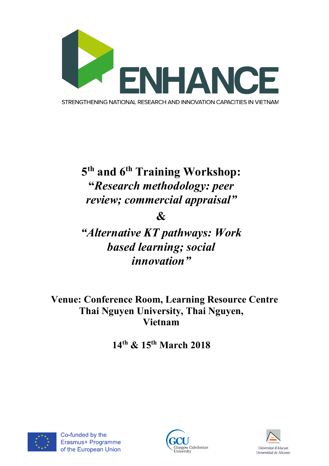

# **5th and 6th Training Workshop: "***Research methodology: peer review; commercial appraisal"*

**&**

*"Alternative KT pathways: Work based learning; social innovation"*

**Venue: Conference Room, Learning Resource Centre Thai Nguyen University, Thai Nguyen, Vietnam**

**14th & 15th March 2018**





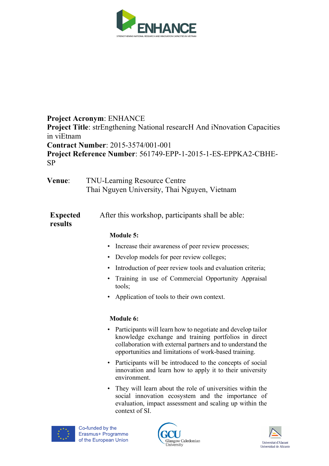

## **Project Acronym**: ENHANCE **Project Title:** strEngthening National researcH And iNnovation Capacities in viEtnam **Contract Number**: 2015-3574/001-001 **Project Reference Number**: 561749-EPP-1-2015-1-ES-EPPKA2-CBHE-SP

| <b>Venue:</b> | <b>TNU-Learning Resource Centre</b>          |
|---------------|----------------------------------------------|
|               | Thai Nguyen University, Thai Nguyen, Vietnam |

| <b>Expected</b> | After this workshop, participants shall be able: |
|-----------------|--------------------------------------------------|
| results         |                                                  |

#### **Module 5:**

- Increase their awareness of peer review processes;
- Develop models for peer review colleges;
- Introduction of peer review tools and evaluation criteria;
- Training in use of Commercial Opportunity Appraisal tools;
- Application of tools to their own context.

#### **Module 6:**

- Participants will learn how to negotiate and develop tailor knowledge exchange and training portfolios in direct collaboration with external partners and to understand the opportunities and limitations of work-based training.
- Participants will be introduced to the concepts of social innovation and learn how to apply it to their university environment.
- They will learn about the role of universities within the social innovation ecosystem and the importance of evaluation, impact assessment and scaling up within the context of SI.





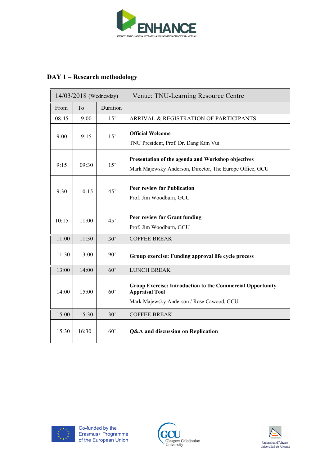

## **DAY 1 – Research methodology**

| 14/03/2018 (Wednesday) |       |              | Venue: TNU-Learning Resource Centre                                                                                                     |
|------------------------|-------|--------------|-----------------------------------------------------------------------------------------------------------------------------------------|
| From                   | To    | Duration     |                                                                                                                                         |
| 08:45                  | 9:00  | 15'          | ARRIVAL & REGISTRATION OF PARTICIPANTS                                                                                                  |
| 9:00                   | 9:15  | 15'          | <b>Official Welcome</b><br>TNU President, Prof. Dr. Dang Kim Vui                                                                        |
| 9:15                   | 09:30 | 15'          | Presentation of the agenda and Workshop objectives<br>Mark Majewsky Anderson, Director, The Europe Office, GCU                          |
| 9:30                   | 10:15 | 45'          | <b>Peer review for Publication</b><br>Prof. Jim Woodburn, GCU                                                                           |
| 10:15                  | 11:00 | 45'          | Peer review for Grant funding<br>Prof. Jim Woodburn, GCU                                                                                |
| 11:00                  | 11:30 | 30'          | <b>COFFEE BREAK</b>                                                                                                                     |
| 11:30                  | 13:00 | $90^{\circ}$ | Group exercise: Funding approval life cycle process                                                                                     |
| 13:00                  | 14:00 | 60'          | <b>LUNCH BREAK</b>                                                                                                                      |
| 14:00                  | 15:00 | 60'          | <b>Group Exercise: Introduction to the Commercial Opportunity</b><br><b>Appraisal Tool</b><br>Mark Majewsky Anderson / Rose Cawood, GCU |
| 15:00                  | 15:30 | 30'          | <b>COFFEE BREAK</b>                                                                                                                     |
| 15:30                  | 16:30 | $60^{\circ}$ | Q&A and discussion on Replication                                                                                                       |